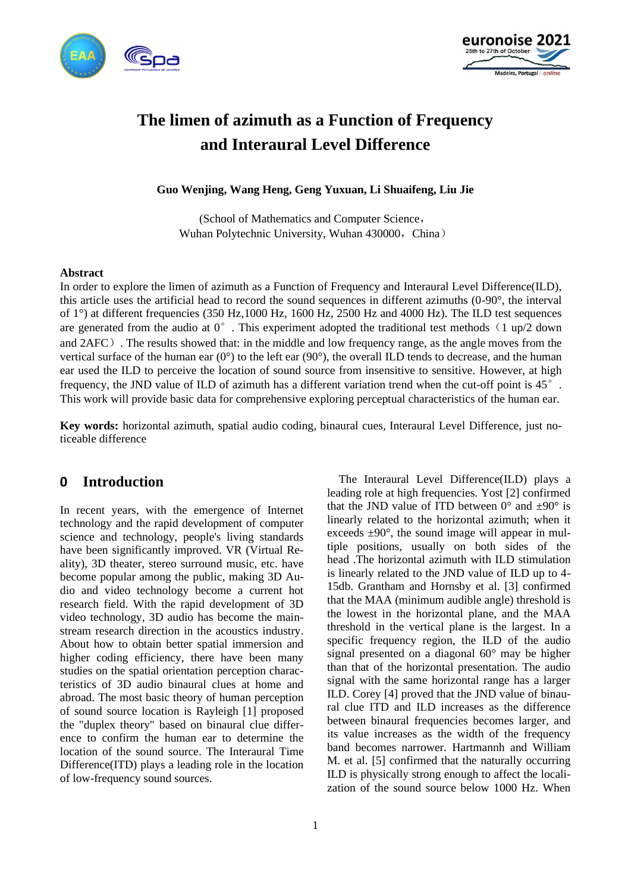



# **The limen of azimuth as a Function of Frequency and Interaural Level Difference**

**Guo Wenjing, Wang Heng, Geng Yuxuan, Li Shuaifeng, Liu Jie**

(School of Mathematics and Computer Science, Wuhan Polytechnic University, Wuhan 430000, China)

#### **Abstract**

In order to explore the limen of azimuth as a Function of Frequency and Interaural Level Difference(ILD), this article uses the artificial head to record the sound sequences in different azimuths (0-90°, the interval of 1°) at different frequencies (350 Hz,1000 Hz, 1600 Hz, 2500 Hz and 4000 Hz). The ILD test sequences are generated from the audio at  $0^{\circ}$ . This experiment adopted the traditional test methods (1 up/2 down and 2AFC). The results showed that: in the middle and low frequency range, as the angle moves from the vertical surface of the human ear (0°) to the left ear (90°), the overall ILD tends to decrease, and the human ear used the ILD to perceive the location of sound source from insensitive to sensitive. However, at high frequency, the JND value of ILD of azimuth has a different variation trend when the cut-off point is 45°. This work will provide basic data for comprehensive exploring perceptual characteristics of the human ear.

**Key words:** horizontal azimuth, spatial audio coding, binaural cues, Interaural Level Difference, just noticeable difference

# **0 Introduction**

In recent years, with the emergence of Internet technology and the rapid development of computer science and technology, people's living standards have been significantly improved. VR (Virtual Reality), 3D theater, stereo surround music, etc. have become popular among the public, making 3D Audio and video technology become a current hot research field. With the rapid development of 3D video technology, 3D audio has become the mainstream research direction in the acoustics industry. About how to obtain better spatial immersion and higher coding efficiency, there have been many studies on the spatial orientation perception characteristics of 3D audio binaural clues at home and abroad. The most basic theory of human perception of sound source location is Rayleigh [1] proposed the "duplex theory" based on binaural clue difference to confirm the human ear to determine the location of the sound source. The Interaural Time Difference(ITD) plays a leading role in the location of low-frequency sound sources.

The Interaural Level Difference(ILD) plays a leading role at high frequencies. Yost [2] confirmed that the JND value of ITD between  $0^{\circ}$  and  $\pm 90^{\circ}$  is linearly related to the horizontal azimuth; when it exceeds  $\pm 90^\circ$ , the sound image will appear in multiple positions, usually on both sides of the head .The horizontal azimuth with ILD stimulation is linearly related to the JND value of ILD up to 4- 15db. Grantham and Hornsby et al. [3] confirmed that the MAA (minimum audible angle) threshold is the lowest in the horizontal plane, and the MAA threshold in the vertical plane is the largest. In a specific frequency region, the ILD of the audio signal presented on a diagonal 60° may be higher than that of the horizontal presentation. The audio signal with the same horizontal range has a larger ILD. Corey [4] proved that the JND value of binaural clue ITD and ILD increases as the difference between binaural frequencies becomes larger, and its value increases as the width of the frequency band becomes narrower. Hartmannh and William M. et al. [5] confirmed that the naturally occurring ILD is physically strong enough to affect the localization of the sound source below 1000 Hz. When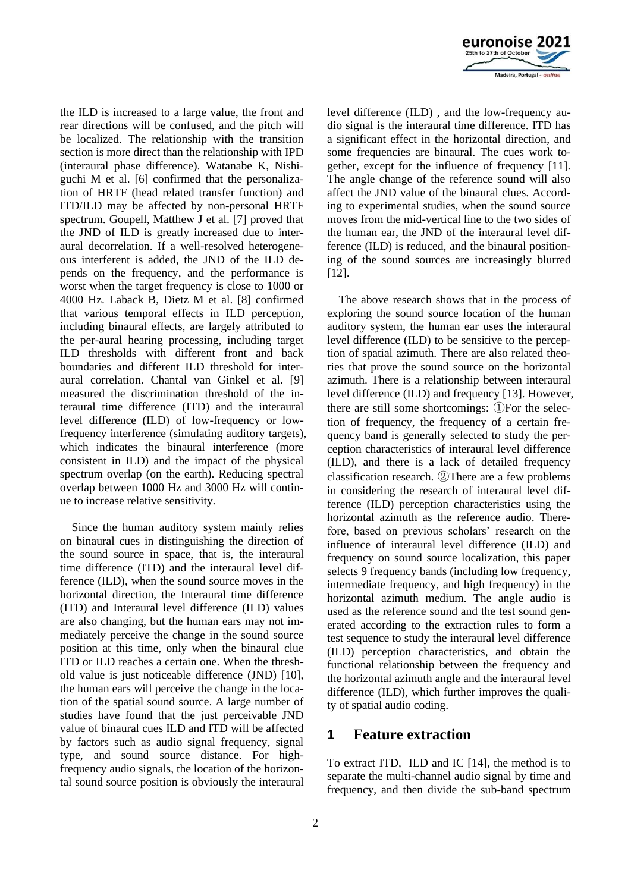

the ILD is increased to a large value, the front and rear directions will be confused, and the pitch will be localized. The relationship with the transition section is more direct than the relationship with IPD (interaural phase difference). Watanabe K, Nishiguchi M et al. [6] confirmed that the personalization of HRTF (head related transfer function) and ITD/ILD may be affected by non-personal HRTF spectrum. Goupell, Matthew J et al. [7] proved that the JND of ILD is greatly increased due to interaural decorrelation. If a well-resolved heterogeneous interferent is added, the JND of the ILD depends on the frequency, and the performance is worst when the target frequency is close to 1000 or 4000 Hz. Laback B, Dietz M et al. [8] confirmed that various temporal effects in ILD perception, including binaural effects, are largely attributed to the per-aural hearing processing, including target ILD thresholds with different front and back boundaries and different ILD threshold for interaural correlation. Chantal van Ginkel et al. [9] measured the discrimination threshold of the interaural time difference (ITD) and the interaural level difference (ILD) of low-frequency or lowfrequency interference (simulating auditory targets), which indicates the binaural interference (more consistent in ILD) and the impact of the physical spectrum overlap (on the earth). Reducing spectral overlap between 1000 Hz and 3000 Hz will continue to increase relative sensitivity.

Since the human auditory system mainly relies on binaural cues in distinguishing the direction of the sound source in space, that is, the interaural time difference (ITD) and the interaural level difference (ILD), when the sound source moves in the horizontal direction, the Interaural time difference (ITD) and Interaural level difference (ILD) values are also changing, but the human ears may not immediately perceive the change in the sound source position at this time, only when the binaural clue ITD or ILD reaches a certain one. When the threshold value is just noticeable difference (JND) [10], the human ears will perceive the change in the location of the spatial sound source. A large number of studies have found that the just perceivable JND value of binaural cues ILD and ITD will be affected by factors such as audio signal frequency, signal type, and sound source distance. For highfrequency audio signals, the location of the horizontal sound source position is obviously the interaural level difference (ILD) , and the low-frequency audio signal is the interaural time difference. ITD has a significant effect in the horizontal direction, and some frequencies are binaural. The cues work together, except for the influence of frequency [11]. The angle change of the reference sound will also affect the JND value of the binaural clues. According to experimental studies, when the sound source moves from the mid-vertical line to the two sides of the human ear, the JND of the interaural level difference (ILD) is reduced, and the binaural positioning of the sound sources are increasingly blurred [12].

The above research shows that in the process of exploring the sound source location of the human auditory system, the human ear uses the interaural level difference (ILD) to be sensitive to the perception of spatial azimuth. There are also related theories that prove the sound source on the horizontal azimuth. There is a relationship between interaural level difference (ILD) and frequency [13]. However, there are still some shortcomings: ①For the selection of frequency, the frequency of a certain frequency band is generally selected to study the perception characteristics of interaural level difference (ILD), and there is a lack of detailed frequency classification research. ②There are a few problems in considering the research of interaural level difference (ILD) perception characteristics using the horizontal azimuth as the reference audio. Therefore, based on previous scholars' research on the influence of interaural level difference (ILD) and frequency on sound source localization, this paper selects 9 frequency bands (including low frequency, intermediate frequency, and high frequency) in the horizontal azimuth medium. The angle audio is used as the reference sound and the test sound generated according to the extraction rules to form a test sequence to study the interaural level difference (ILD) perception characteristics, and obtain the functional relationship between the frequency and the horizontal azimuth angle and the interaural level difference (ILD), which further improves the quality of spatial audio coding.

# **1 Feature extraction**

To extract ITD, ILD and IC [14], the method is to separate the multi-channel audio signal by time and frequency, and then divide the sub-band spectrum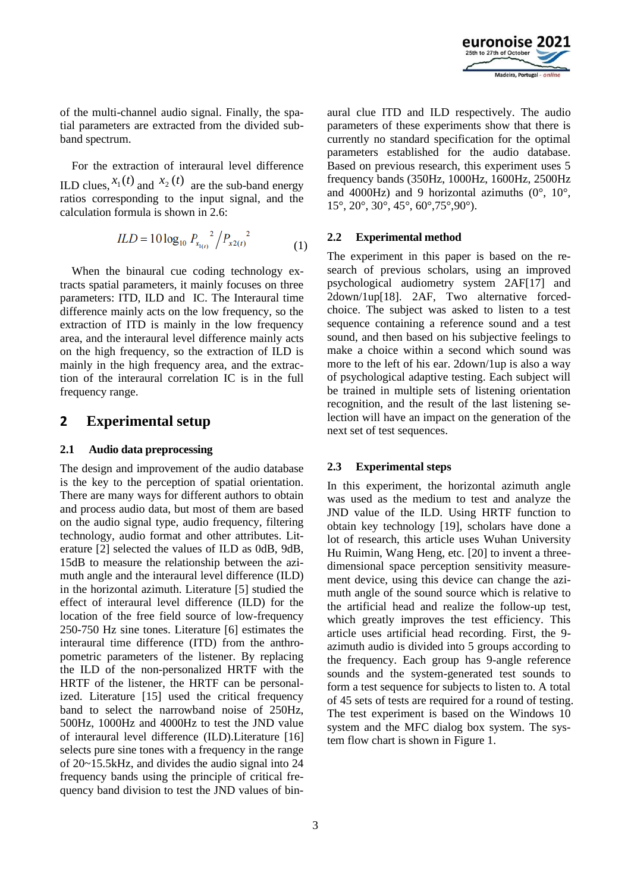

of the multi-channel audio signal. Finally, the spatial parameters are extracted from the divided subband spectrum.

For the extraction of interaural level difference ILD clues,  $x_1(t)$  and  $x_2(t)$  are the sub-band energy ratios corresponding to the input signal, and the calculation formula is shown in 2.6:

$$
ILD = 10 \log_{10} P_{x_{1(t)}}^2 / P_{x2(t)}^2 \tag{1}
$$

When the binaural cue coding technology extracts spatial parameters, it mainly focuses on three parameters: ITD, ILD and IC. The Interaural time difference mainly acts on the low frequency, so the extraction of ITD is mainly in the low frequency area, and the interaural level difference mainly acts on the high frequency, so the extraction of ILD is mainly in the high frequency area, and the extraction of the interaural correlation IC is in the full frequency range.

# **2 Experimental setup**

#### **2.1 Audio data preprocessing**

The design and improvement of the audio database is the key to the perception of spatial orientation. There are many ways for different authors to obtain and process audio data, but most of them are based on the audio signal type, audio frequency, filtering technology, audio format and other attributes. Literature [2] selected the values of ILD as 0dB, 9dB, 15dB to measure the relationship between the azimuth angle and the interaural level difference (ILD) in the horizontal azimuth. Literature [5] studied the effect of interaural level difference (ILD) for the location of the free field source of low-frequency 250-750 Hz sine tones. Literature [6] estimates the interaural time difference (ITD) from the anthropometric parameters of the listener. By replacing the ILD of the non-personalized HRTF with the HRTF of the listener, the HRTF can be personalized. Literature [15] used the critical frequency band to select the narrowband noise of 250Hz, 500Hz, 1000Hz and 4000Hz to test the JND value of interaural level difference (ILD).Literature [16] selects pure sine tones with a frequency in the range of 20~15.5kHz, and divides the audio signal into 24 frequency bands using the principle of critical frequency band division to test the JND values of binaural clue ITD and ILD respectively. The audio parameters of these experiments show that there is currently no standard specification for the optimal parameters established for the audio database. Based on previous research, this experiment uses 5 frequency bands (350Hz, 1000Hz, 1600Hz, 2500Hz and 4000Hz) and 9 horizontal azimuths  $(0^{\circ}, 10^{\circ})$ . 15°, 20°, 30°, 45°, 60°,75°,90°).

## **2.2 Experimental method**

The experiment in this paper is based on the research of previous scholars, using an improved psychological audiometry system 2AF[17] and 2down/1up[18]. 2AF, Two alternative forcedchoice. The subject was asked to listen to a test sequence containing a reference sound and a test sound, and then based on his subjective feelings to make a choice within a second which sound was more to the left of his ear. 2down/1up is also a way of psychological adaptive testing. Each subject will be trained in multiple sets of listening orientation recognition, and the result of the last listening selection will have an impact on the generation of the next set of test sequences.

## **2.3 Experimental steps**

In this experiment, the horizontal azimuth angle was used as the medium to test and analyze the JND value of the ILD. Using HRTF function to obtain key technology [19], scholars have done a lot of research, this article uses Wuhan University Hu Ruimin, Wang Heng, etc. [20] to invent a threedimensional space perception sensitivity measurement device, using this device can change the azimuth angle of the sound source which is relative to the artificial head and realize the follow-up test, which greatly improves the test efficiency. This article uses artificial head recording. First, the 9 azimuth audio is divided into 5 groups according to the frequency. Each group has 9-angle reference sounds and the system-generated test sounds to form a test sequence for subjects to listen to. A total of 45 sets of tests are required for a round of testing. The test experiment is based on the Windows 10 system and the MFC dialog box system. The system flow chart is shown in Figure 1.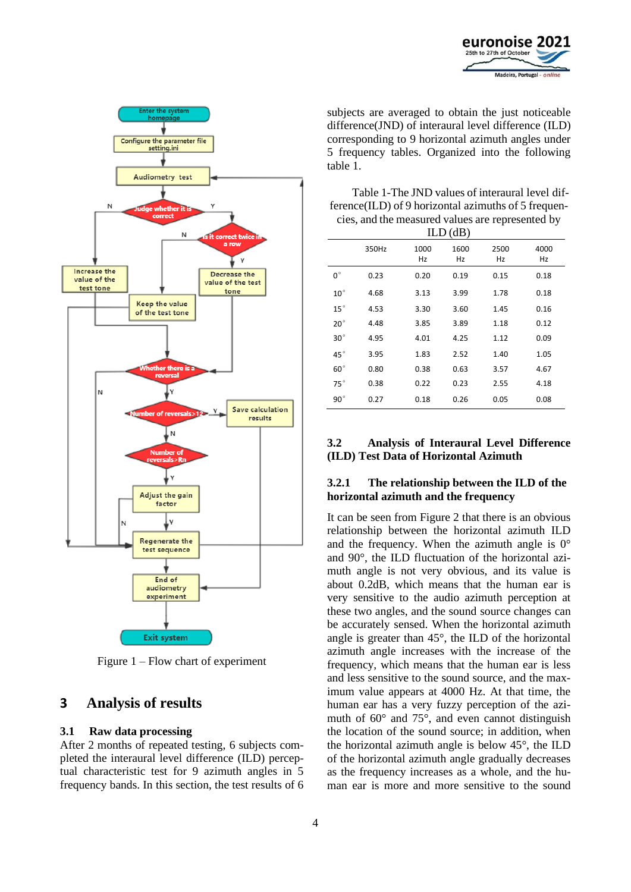



Figure 1 – Flow chart of experiment

# **3 Analysis of results**

#### **3.1 Raw data processing**

After 2 months of repeated testing, 6 subjects completed the interaural level difference (ILD) perceptual characteristic test for 9 azimuth angles in 5 frequency bands. In this section, the test results of 6 subjects are averaged to obtain the just noticeable difference(JND) of interaural level difference (ILD) corresponding to 9 horizontal azimuth angles under 5 frequency tables. Organized into the following table 1.

| Table 1-The JND values of interaural level dif-      |
|------------------------------------------------------|
| ference (ILD) of 9 horizontal azimuths of 5 frequen- |
| cies, and the measured values are represented by     |

| ILD(dB)      |       |            |            |            |            |  |  |  |
|--------------|-------|------------|------------|------------|------------|--|--|--|
|              | 350Hz | 1000<br>Hz | 1600<br>Hz | 2500<br>Hz | 4000<br>Hz |  |  |  |
| $0^{\circ}$  | 0.23  | 0.20       | 0.19       | 0.15       | 0.18       |  |  |  |
| $10^{\circ}$ | 4.68  | 3.13       | 3.99       | 1.78       | 0.18       |  |  |  |
| $15^{\circ}$ | 4.53  | 3.30       | 3.60       | 1.45       | 0.16       |  |  |  |
| $20^{\circ}$ | 4.48  | 3.85       | 3.89       | 1.18       | 0.12       |  |  |  |
| $30^\circ$   | 4.95  | 4.01       | 4.25       | 1.12       | 0.09       |  |  |  |
| $45^{\circ}$ | 3.95  | 1.83       | 2.52       | 1.40       | 1.05       |  |  |  |
| $60^{\circ}$ | 0.80  | 0.38       | 0.63       | 3.57       | 4.67       |  |  |  |
| $75^\circ$   | 0.38  | 0.22       | 0.23       | 2.55       | 4.18       |  |  |  |
| $90^{\circ}$ | 0.27  | 0.18       | 0.26       | 0.05       | 0.08       |  |  |  |
|              |       |            |            |            |            |  |  |  |

## **3.2 Analysis of Interaural Level Difference (ILD) Test Data of Horizontal Azimuth**

## **3.2.1 The relationship between the ILD of the horizontal azimuth and the frequency**

It can be seen from Figure 2 that there is an obvious relationship between the horizontal azimuth ILD and the frequency. When the azimuth angle is  $0^{\circ}$ and 90°, the ILD fluctuation of the horizontal azimuth angle is not very obvious, and its value is about 0.2dB, which means that the human ear is very sensitive to the audio azimuth perception at these two angles, and the sound source changes can be accurately sensed. When the horizontal azimuth angle is greater than 45°, the ILD of the horizontal azimuth angle increases with the increase of the frequency, which means that the human ear is less and less sensitive to the sound source, and the maximum value appears at 4000 Hz. At that time, the human ear has a very fuzzy perception of the azimuth of 60° and 75°, and even cannot distinguish the location of the sound source; in addition, when the horizontal azimuth angle is below 45°, the ILD of the horizontal azimuth angle gradually decreases as the frequency increases as a whole, and the human ear is more and more sensitive to the sound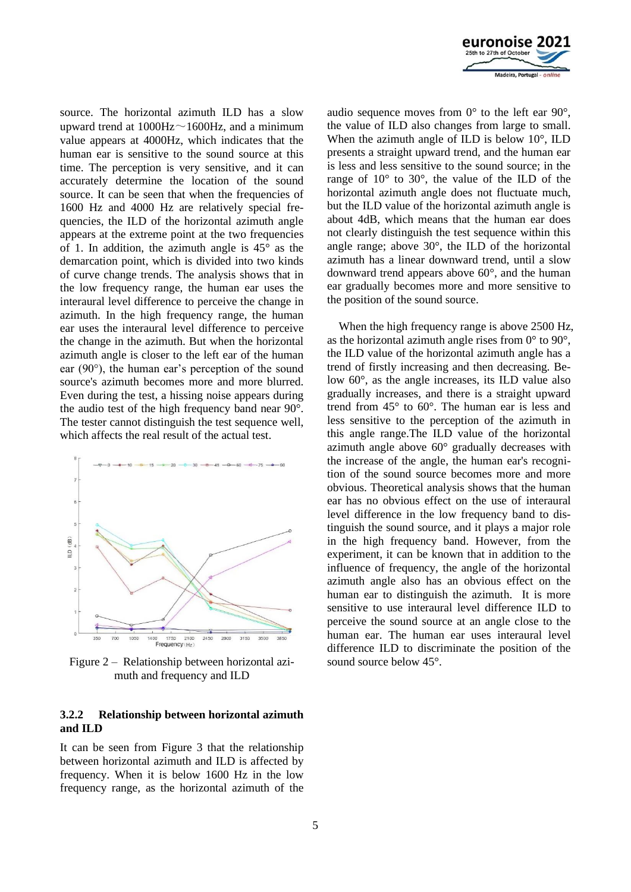

source. The horizontal azimuth ILD has a slow upward trend at  $1000Hz \sim 1600Hz$ , and a minimum value appears at 4000Hz, which indicates that the human ear is sensitive to the sound source at this time. The perception is very sensitive, and it can accurately determine the location of the sound source. It can be seen that when the frequencies of 1600 Hz and 4000 Hz are relatively special frequencies, the ILD of the horizontal azimuth angle appears at the extreme point at the two frequencies of 1. In addition, the azimuth angle is 45° as the demarcation point, which is divided into two kinds of curve change trends. The analysis shows that in the low frequency range, the human ear uses the interaural level difference to perceive the change in azimuth. In the high frequency range, the human ear uses the interaural level difference to perceive the change in the azimuth. But when the horizontal azimuth angle is closer to the left ear of the human ear (90°), the human ear's perception of the sound source's azimuth becomes more and more blurred. Even during the test, a hissing noise appears during the audio test of the high frequency band near 90°. The tester cannot distinguish the test sequence well, which affects the real result of the actual test.



Figure 2 – Relationship between horizontal azimuth and frequency and ILD

### **3.2.2 Relationship between horizontal azimuth and ILD**

It can be seen from Figure 3 that the relationship between horizontal azimuth and ILD is affected by frequency. When it is below 1600 Hz in the low frequency range, as the horizontal azimuth of the audio sequence moves from  $0^{\circ}$  to the left ear  $90^{\circ}$ , the value of ILD also changes from large to small. When the azimuth angle of ILD is below 10°, ILD presents a straight upward trend, and the human ear is less and less sensitive to the sound source; in the range of 10° to 30°, the value of the ILD of the horizontal azimuth angle does not fluctuate much, but the ILD value of the horizontal azimuth angle is about 4dB, which means that the human ear does not clearly distinguish the test sequence within this angle range; above 30°, the ILD of the horizontal azimuth has a linear downward trend, until a slow downward trend appears above 60°, and the human ear gradually becomes more and more sensitive to the position of the sound source.

When the high frequency range is above 2500 Hz, as the horizontal azimuth angle rises from  $0^{\circ}$  to  $90^{\circ}$ , the ILD value of the horizontal azimuth angle has a trend of firstly increasing and then decreasing. Below 60°, as the angle increases, its ILD value also gradually increases, and there is a straight upward trend from 45° to 60°. The human ear is less and less sensitive to the perception of the azimuth in this angle range.The ILD value of the horizontal azimuth angle above  $60^{\circ}$  gradually decreases with the increase of the angle, the human ear's recognition of the sound source becomes more and more obvious. Theoretical analysis shows that the human ear has no obvious effect on the use of interaural level difference in the low frequency band to distinguish the sound source, and it plays a major role in the high frequency band. However, from the experiment, it can be known that in addition to the influence of frequency, the angle of the horizontal azimuth angle also has an obvious effect on the human ear to distinguish the azimuth. It is more sensitive to use interaural level difference ILD to perceive the sound source at an angle close to the human ear. The human ear uses interaural level difference ILD to discriminate the position of the sound source below  $45^{\circ}$ .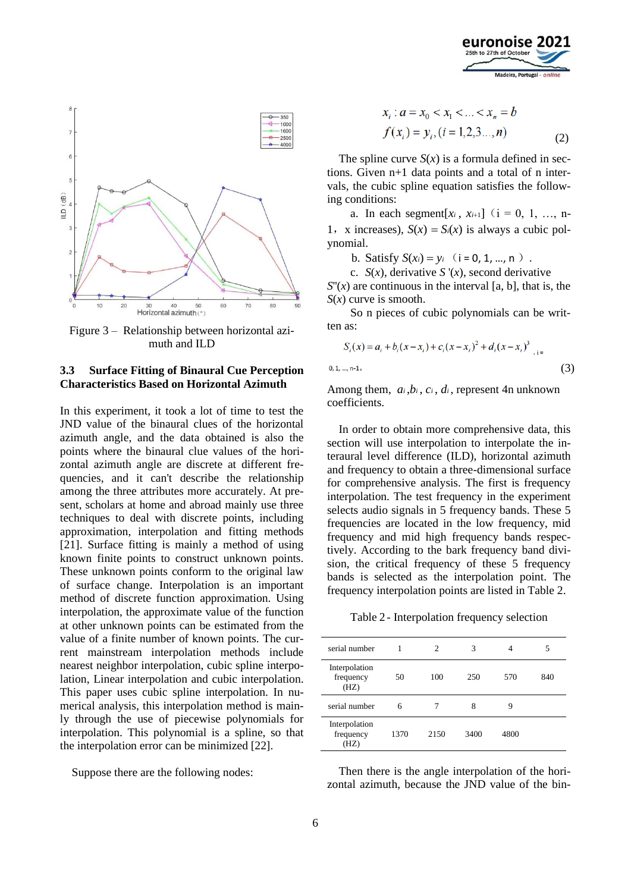



Figure 3 – Relationship between horizontal azimuth and ILD

## **3.3 Surface Fitting of Binaural Cue Perception Characteristics Based on Horizontal Azimuth**

In this experiment, it took a lot of time to test the JND value of the binaural clues of the horizontal azimuth angle, and the data obtained is also the points where the binaural clue values of the horizontal azimuth angle are discrete at different frequencies, and it can't describe the relationship among the three attributes more accurately. At present, scholars at home and abroad mainly use three techniques to deal with discrete points, including approximation, interpolation and fitting methods [21]. Surface fitting is mainly a method of using known finite points to construct unknown points. These unknown points conform to the original law of surface change. Interpolation is an important method of discrete function approximation. Using interpolation, the approximate value of the function at other unknown points can be estimated from the value of a finite number of known points. The current mainstream interpolation methods include nearest neighbor interpolation, cubic spline interpolation, Linear interpolation and cubic interpolation. This paper uses cubic spline interpolation. In numerical analysis, this interpolation method is mainly through the use of piecewise polynomials for interpolation. This polynomial is a spline, so that the interpolation error can be minimized [22].

Suppose there are the following nodes:

$$
x_i : a = x_0 < x_1 < \ldots < x_n = b
$$
\n
$$
f(x_i) = y_i, (i = 1, 2, 3, \ldots, n) \tag{2}
$$

The spline curve  $S(x)$  is a formula defined in sections. Given n+1 data points and a total of n intervals, the cubic spline equation satisfies the following conditions:

a. In each segment[ $x_i$ ,  $x_{i+1}$ ] ( $i = 0, 1, ..., n$ -1, x increases),  $S(x) = S_i(x)$  is always a cubic polynomial.

b. Satisfy  $S(x_i) = y_i$  (**i** = 0, 1, ..., n).

c.  $S(x)$ , derivative  $S'(x)$ , second derivative

 $S''(x)$  are continuous in the interval [a, b], that is, the *S*(*x*) curve is smooth.

So n pieces of cubic polynomials can be written as:

$$
S_i(x) = a_i + b_i(x - x_i) + c_i(x - x_i)^2 + d_i(x - x_i)^3
$$
<sub>i, i=1,...,n-1</sub> (3)

Among them,  $a_i, b_i, c_i, d_i$ , represent 4n unknown coefficients.

In order to obtain more comprehensive data, this section will use interpolation to interpolate the interaural level difference (ILD), horizontal azimuth and frequency to obtain a three-dimensional surface for comprehensive analysis. The first is frequency interpolation. The test frequency in the experiment selects audio signals in 5 frequency bands. These 5 frequencies are located in the low frequency, mid frequency and mid high frequency bands respectively. According to the bark frequency band division, the critical frequency of these 5 frequency bands is selected as the interpolation point. The frequency interpolation points are listed in Table 2.

Table 2 - Interpolation frequency selection

| serial number                      |      | $\mathfrak{D}$ | 3    | 4    | 5   |
|------------------------------------|------|----------------|------|------|-----|
| Interpolation<br>frequency<br>(HZ) | 50   | 100            | 250  | 570  | 840 |
| serial number                      | 6    |                | 8    | 9    |     |
| Interpolation<br>frequency<br>(HZ) | 1370 | 2150           | 3400 | 4800 |     |

Then there is the angle interpolation of the horizontal azimuth, because the JND value of the bin-

 $\mathbf{0}$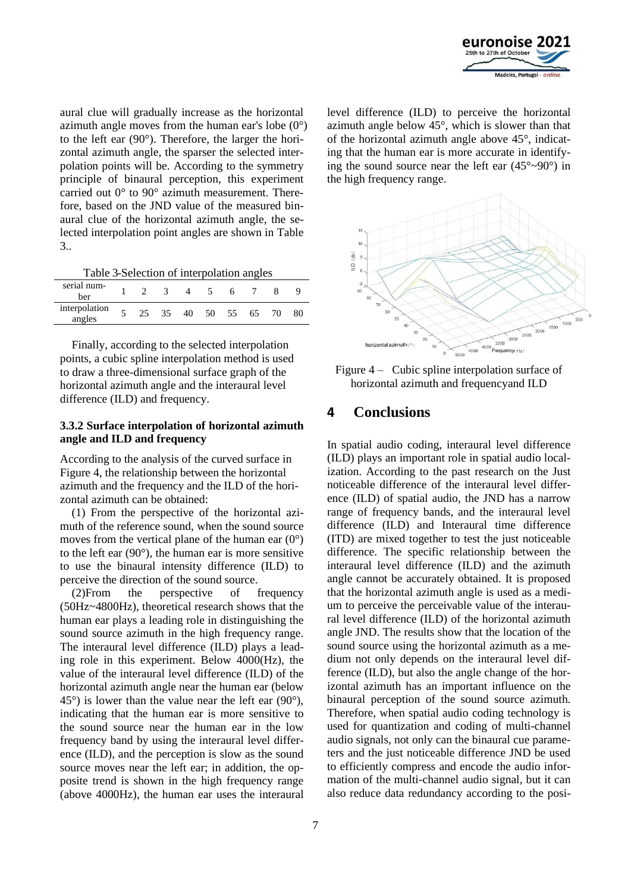

aural clue will gradually increase as the horizontal azimuth angle moves from the human ear's lobe  $(0^{\circ})$ to the left ear (90°). Therefore, the larger the horizontal azimuth angle, the sparser the selected interpolation points will be. According to the symmetry principle of binaural perception, this experiment carried out 0° to 90° azimuth measurement. Therefore, based on the JND value of the measured binaural clue of the horizontal azimuth angle, the selected interpolation point angles are shown in Table 3..

Table 3-Selection of interpolation angles

| serial num-<br>ber      |   |    |    |    | 6.    |    |    |    |
|-------------------------|---|----|----|----|-------|----|----|----|
| interpolation<br>angles | 5 | 25 | 35 | 40 | 50 55 | 65 | 70 | 80 |

Finally, according to the selected interpolation points, a cubic spline interpolation method is used to draw a three-dimensional surface graph of the horizontal azimuth angle and the interaural level difference (ILD) and frequency.

## **3.3.2 Surface interpolation of horizontal azimuth angle and ILD and frequency**

According to the analysis of the curved surface in Figure 4, the relationship between the horizontal azimuth and the frequency and the ILD of the horizontal azimuth can be obtained:

(1) From the perspective of the horizontal azimuth of the reference sound, when the sound source moves from the vertical plane of the human ear  $(0^{\circ})$ to the left ear (90°), the human ear is more sensitive to use the binaural intensity difference (ILD) to perceive the direction of the sound source.

(2)From the perspective of frequency (50Hz~4800Hz), theoretical research shows that the human ear plays a leading role in distinguishing the sound source azimuth in the high frequency range. The interaural level difference (ILD) plays a leading role in this experiment. Below 4000(Hz), the value of the interaural level difference (ILD) of the horizontal azimuth angle near the human ear (below  $45^{\circ}$ ) is lower than the value near the left ear (90 $^{\circ}$ ), indicating that the human ear is more sensitive to the sound source near the human ear in the low frequency band by using the interaural level difference (ILD), and the perception is slow as the sound source moves near the left ear; in addition, the opposite trend is shown in the high frequency range (above 4000Hz), the human ear uses the interaural level difference (ILD) to perceive the horizontal azimuth angle below 45°, which is slower than that of the horizontal azimuth angle above 45°, indicating that the human ear is more accurate in identifying the sound source near the left ear  $(45^{\circ} \sim 90^{\circ})$  in the high frequency range.



Figure 4 – Cubic spline interpolation surface of horizontal azimuth and frequencyand ILD

# **4 Conclusions**

In spatial audio coding, interaural level difference (ILD) plays an important role in spatial audio localization. According to the past research on the Just noticeable difference of the interaural level difference (ILD) of spatial audio, the JND has a narrow range of frequency bands, and the interaural level difference (ILD) and Interaural time difference (ITD) are mixed together to test the just noticeable difference. The specific relationship between the interaural level difference (ILD) and the azimuth angle cannot be accurately obtained. It is proposed that the horizontal azimuth angle is used as a medium to perceive the perceivable value of the interaural level difference (ILD) of the horizontal azimuth angle JND. The results show that the location of the sound source using the horizontal azimuth as a medium not only depends on the interaural level difference (ILD), but also the angle change of the horizontal azimuth has an important influence on the binaural perception of the sound source azimuth. Therefore, when spatial audio coding technology is used for quantization and coding of multi-channel audio signals, not only can the binaural cue parameters and the just noticeable difference JND be used to efficiently compress and encode the audio information of the multi-channel audio signal, but it can also reduce data redundancy according to the posi-